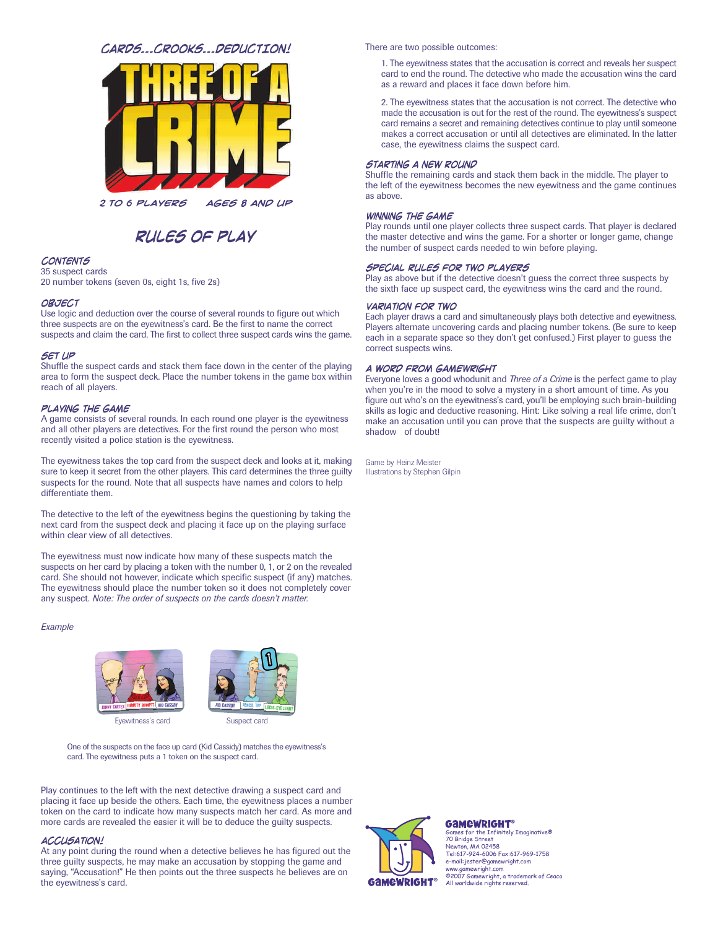# CARDS...CROOKS...DEDUCTION!



2 TO 6 PLAYERS AGES 8 AND UP

# RULES OF PLAY

# **CONTENTS**

35 suspect cards 20 number tokens (seven 0s, eight 1s, five 2s)

## **OBJECT**

Use logic and deduction over the course of several rounds to figure out which three suspects are on the eyewitness's card. Be the first to name the correct suspects and claim the card. The first to collect three suspect cards wins the game.

### SET UP

Shuffle the suspect cards and stack them face down in the center of the playing area to form the suspect deck. Place the number tokens in the game box within reach of all players.

### PLAYING THE GAME

A game consists of several rounds. In each round one player is the eyewitness and all other players are detectives. For the first round the person who most recently visited a police station is the eyewitness.

The eyewitness takes the top card from the suspect deck and looks at it, making sure to keep it secret from the other players. This card determines the three guilty suspects for the round. Note that all suspects have names and colors to help differentiate them.

The detective to the left of the eyewitness begins the questioning by taking the next card from the suspect deck and placing it face up on the playing surface within clear view of all detectives.

The eyewitness must now indicate how many of these suspects match the suspects on her card by placing a token with the number 0, 1, or 2 on the revealed card. She should not however, indicate which specific suspect (if any) matches. The eyewitness should place the number token so it does not completely cover any suspect. *Note: The order of suspects on the cards doesn't matter.*

### *Example*



One of the suspects on the face up card (Kid Cassidy) matches the eyewitness's card. The eyewitness puts a 1 token on the suspect card.

Play continues to the left with the next detective drawing a suspect card and placing it face up beside the others. Each time, the eyewitness places a number token on the card to indicate how many suspects match her card. As more and more cards are revealed the easier it will be to deduce the guilty suspects.

### **ACCUSATION!**

At any point during the round when a detective believes he has figured out the three guilty suspects, he may make an accusation by stopping the game and saying, "Accusation!" He then points out the three suspects he believes are on the eyewitness's card.

There are two possible outcomes:

1. The eyewitness states that the accusation is correct and reveals her suspect card to end the round. The detective who made the accusation wins the card as a reward and places it face down before him.

2. The eyewitness states that the accusation is not correct. The detective who made the accusation is out for the rest of the round. The eyewitness's suspect card remains a secret and remaining detectives continue to play until someone makes a correct accusation or until all detectives are eliminated. In the latter case, the eyewitness claims the suspect card.

## **STARTING A NEW ROUND**

Shuffle the remaining cards and stack them back in the middle. The player to the left of the eyewitness becomes the new eyewitness and the game continues as above.

# **WINNING THE GAME**

Play rounds until one player collects three suspect cards. That player is declared the master detective and wins the game. For a shorter or longer game, change the number of suspect cards needed to win before playing.

## SPECIAL RULES FOR TWO PLAYERS

Play as above but if the detective doesn't guess the correct three suspects by the sixth face up suspect card, the eyewitness wins the card and the round.

### **VARIATION FOR TWO**

Each player draws a card and simultaneously plays both detective and eyewitness. Players alternate uncovering cards and placing number tokens. (Be sure to keep each in a separate space so they don't get confused.) First player to guess the correct suspects wins.

## A WORD FROM GAMEWRIGHT

Everyone loves a good whodunit and *Three of a Crime* is the perfect game to play when you're in the mood to solve a mystery in a short amount of time. As you figure out who's on the eyewitness's card, you'll be employing such brain-building skills as logic and deductive reasoning. Hint: Like solving a real life crime, don't make an accusation until you can prove that the suspects are guilty without a shadow of doubt!

Game by Heinz Meister Illustrations by Stephen Gilpin



**GAMEWRIGHT®** .<br>Iv Tmaginative®

70 Bridge Street Newton, MA 02458 Tel:617-924-6006 Fax:617-969-1758 e-mail:jester@gamewright.com www.gamewright.com ©2007 Gamewright, a trademark of Ceaco All worldwide rights reserved.